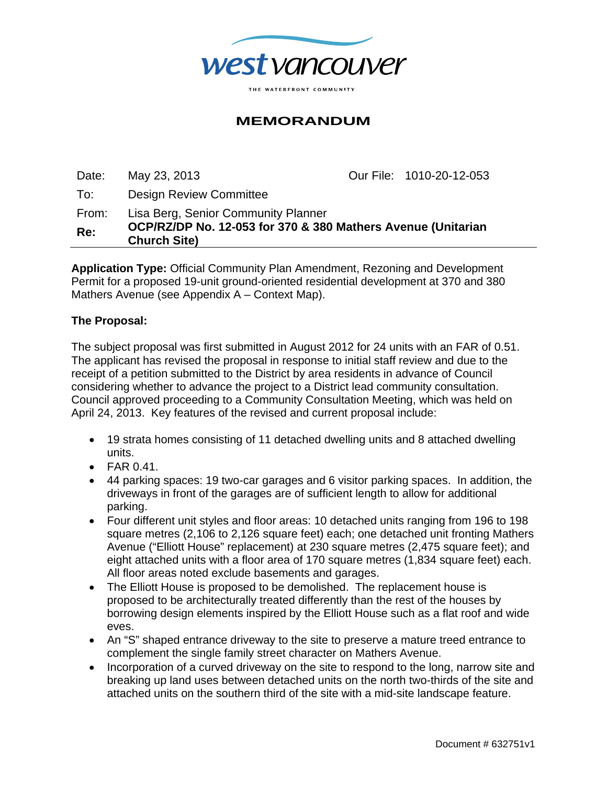

# **MEMORANDUM**

Date: May 23, 2013 Our File: 1010-20-12-053 To: Design Review Committee From: Lisa Berg, Senior Community Planner

**Re: OCP/RZ/DP No. 12-053 for 370 & 380 Mathers Avenue (Unitarian Church Site)** 

**Application Type:** Official Community Plan Amendment, Rezoning and Development Permit for a proposed 19-unit ground-oriented residential development at 370 and 380 Mathers Avenue (see Appendix A – Context Map).

### **The Proposal:**

The subject proposal was first submitted in August 2012 for 24 units with an FAR of 0.51. The applicant has revised the proposal in response to initial staff review and due to the receipt of a petition submitted to the District by area residents in advance of Council considering whether to advance the project to a District lead community consultation. Council approved proceeding to a Community Consultation Meeting, which was held on April 24, 2013. Key features of the revised and current proposal include:

- 19 strata homes consisting of 11 detached dwelling units and 8 attached dwelling units.
- $\bullet$  FAR 0.41.
- 44 parking spaces: 19 two-car garages and 6 visitor parking spaces. In addition, the driveways in front of the garages are of sufficient length to allow for additional parking.
- Four different unit styles and floor areas: 10 detached units ranging from 196 to 198 square metres (2,106 to 2,126 square feet) each; one detached unit fronting Mathers Avenue ("Elliott House" replacement) at 230 square metres (2,475 square feet); and eight attached units with a floor area of 170 square metres (1,834 square feet) each. All floor areas noted exclude basements and garages.
- The Elliott House is proposed to be demolished. The replacement house is proposed to be architecturally treated differently than the rest of the houses by borrowing design elements inspired by the Elliott House such as a flat roof and wide eves.
- An "S" shaped entrance driveway to the site to preserve a mature treed entrance to complement the single family street character on Mathers Avenue.
- Incorporation of a curved driveway on the site to respond to the long, narrow site and breaking up land uses between detached units on the north two-thirds of the site and attached units on the southern third of the site with a mid-site landscape feature.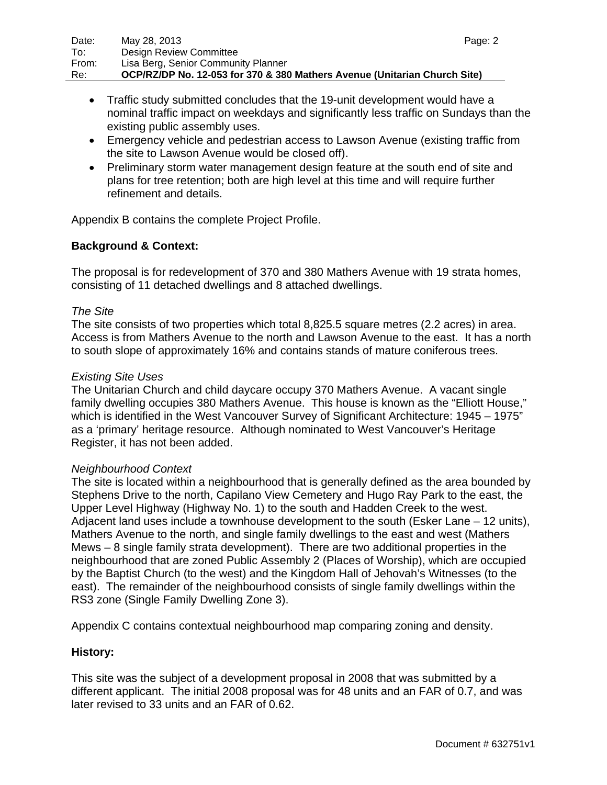- Traffic study submitted concludes that the 19-unit development would have a nominal traffic impact on weekdays and significantly less traffic on Sundays than the existing public assembly uses.
- Emergency vehicle and pedestrian access to Lawson Avenue (existing traffic from the site to Lawson Avenue would be closed off).
- Preliminary storm water management design feature at the south end of site and plans for tree retention; both are high level at this time and will require further refinement and details.

Appendix B contains the complete Project Profile.

## **Background & Context:**

The proposal is for redevelopment of 370 and 380 Mathers Avenue with 19 strata homes, consisting of 11 detached dwellings and 8 attached dwellings.

### *The Site*

The site consists of two properties which total 8,825.5 square metres (2.2 acres) in area. Access is from Mathers Avenue to the north and Lawson Avenue to the east. It has a north to south slope of approximately 16% and contains stands of mature coniferous trees.

#### *Existing Site Uses*

The Unitarian Church and child daycare occupy 370 Mathers Avenue. A vacant single family dwelling occupies 380 Mathers Avenue. This house is known as the "Elliott House," which is identified in the West Vancouver Survey of Significant Architecture: 1945 – 1975" as a 'primary' heritage resource. Although nominated to West Vancouver's Heritage Register, it has not been added.

### *Neighbourhood Context*

The site is located within a neighbourhood that is generally defined as the area bounded by Stephens Drive to the north, Capilano View Cemetery and Hugo Ray Park to the east, the Upper Level Highway (Highway No. 1) to the south and Hadden Creek to the west. Adjacent land uses include a townhouse development to the south (Esker Lane – 12 units), Mathers Avenue to the north, and single family dwellings to the east and west (Mathers Mews – 8 single family strata development). There are two additional properties in the neighbourhood that are zoned Public Assembly 2 (Places of Worship), which are occupied by the Baptist Church (to the west) and the Kingdom Hall of Jehovah's Witnesses (to the east). The remainder of the neighbourhood consists of single family dwellings within the RS3 zone (Single Family Dwelling Zone 3).

Appendix C contains contextual neighbourhood map comparing zoning and density.

### **History:**

This site was the subject of a development proposal in 2008 that was submitted by a different applicant. The initial 2008 proposal was for 48 units and an FAR of 0.7, and was later revised to 33 units and an FAR of 0.62.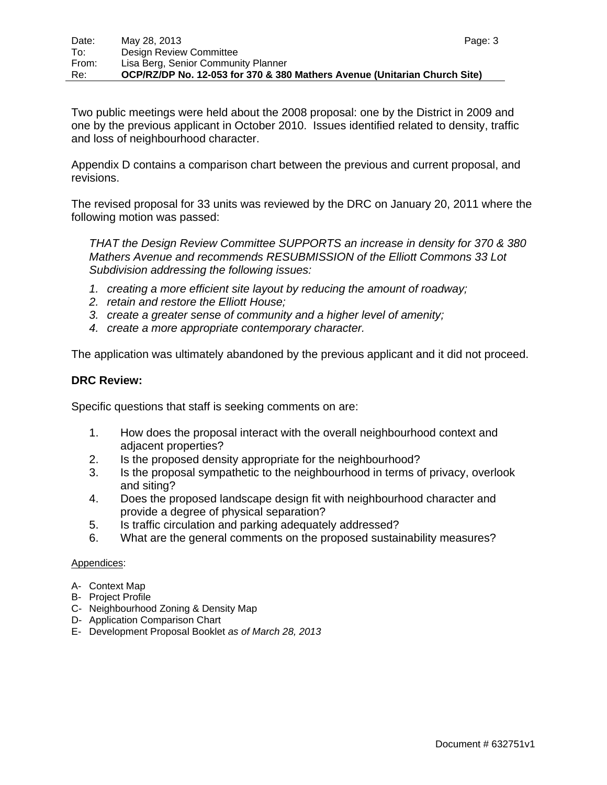Two public meetings were held about the 2008 proposal: one by the District in 2009 and one by the previous applicant in October 2010. Issues identified related to density, traffic and loss of neighbourhood character.

Appendix D contains a comparison chart between the previous and current proposal, and revisions.

The revised proposal for 33 units was reviewed by the DRC on January 20, 2011 where the following motion was passed:

*THAT the Design Review Committee SUPPORTS an increase in density for 370 & 380 Mathers Avenue and recommends RESUBMISSION of the Elliott Commons 33 Lot Subdivision addressing the following issues:* 

- *1. creating a more efficient site layout by reducing the amount of roadway;*
- *2. retain and restore the Elliott House;*
- *3. create a greater sense of community and a higher level of amenity;*
- *4. create a more appropriate contemporary character.*

The application was ultimately abandoned by the previous applicant and it did not proceed.

#### **DRC Review:**

Specific questions that staff is seeking comments on are:

- 1. How does the proposal interact with the overall neighbourhood context and adjacent properties?
- 2. Is the proposed density appropriate for the neighbourhood?
- 3. Is the proposal sympathetic to the neighbourhood in terms of privacy, overlook and siting?
- 4. Does the proposed landscape design fit with neighbourhood character and provide a degree of physical separation?
- 5. Is traffic circulation and parking adequately addressed?
- 6. What are the general comments on the proposed sustainability measures?

#### Appendices:

- A- Context Map
- B- Project Profile
- C- Neighbourhood Zoning & Density Map
- D- Application Comparison Chart
- E- Development Proposal Booklet *as of March 28, 2013*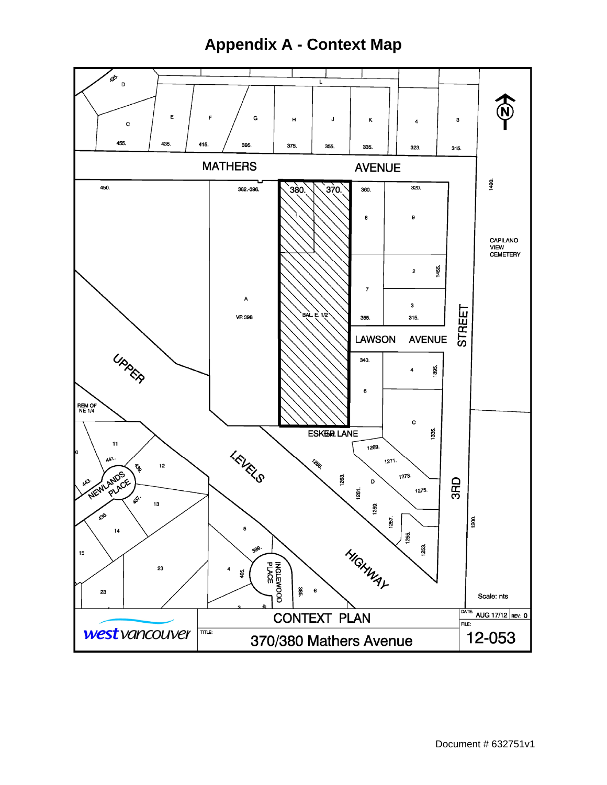# **Appendix A - Context Map**

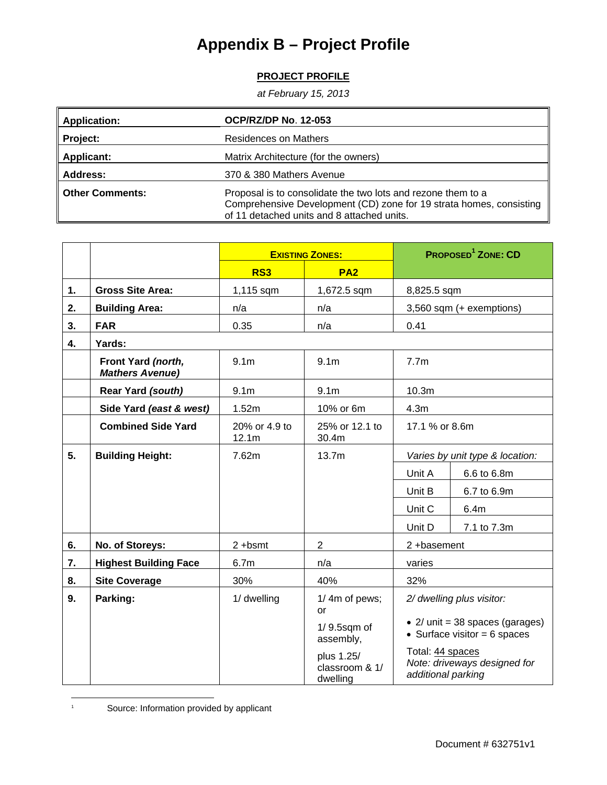# **Appendix B – Project Profile**

# **PROJECT PROFILE**

*at February 15, 2013* 

| <b>Application:</b>    | <b>OCP/RZ/DP No. 12-053</b>                                                                                                                                                       |  |  |
|------------------------|-----------------------------------------------------------------------------------------------------------------------------------------------------------------------------------|--|--|
| Project:               | <b>Residences on Mathers</b>                                                                                                                                                      |  |  |
| <b>Applicant:</b>      | Matrix Architecture (for the owners)                                                                                                                                              |  |  |
| <b>Address:</b>        | 370 & 380 Mathers Avenue                                                                                                                                                          |  |  |
| <b>Other Comments:</b> | Proposal is to consolidate the two lots and rezone them to a<br>Comprehensive Development (CD) zone for 19 strata homes, consisting<br>of 11 detached units and 8 attached units. |  |  |

|    |                                              | <b>EXISTING ZONES:</b> |                                          | <b>PROPOSED<sup>1</sup> ZONE: CD</b>                                   |                  |
|----|----------------------------------------------|------------------------|------------------------------------------|------------------------------------------------------------------------|------------------|
|    |                                              | RS3                    | PA <sub>2</sub>                          |                                                                        |                  |
| 1. | <b>Gross Site Area:</b>                      | 1,115 sqm              | 1,672.5 sqm                              | 8,825.5 sqm                                                            |                  |
| 2. | <b>Building Area:</b>                        | n/a                    | n/a                                      | 3,560 sqm (+ exemptions)                                               |                  |
| 3. | <b>FAR</b>                                   | 0.35                   | n/a                                      | 0.41                                                                   |                  |
| 4. | Yards:                                       |                        |                                          |                                                                        |                  |
|    | Front Yard (north,<br><b>Mathers Avenue)</b> | 9.1 <sub>m</sub>       | 9.1 <sub>m</sub>                         | 7.7 <sub>m</sub>                                                       |                  |
|    | Rear Yard (south)                            | 9.1 <sub>m</sub>       | 9.1 <sub>m</sub>                         | 10.3 <sub>m</sub>                                                      |                  |
|    | Side Yard (east & west)                      | 1.52m                  | 10% or 6m                                | 4.3 <sub>m</sub>                                                       |                  |
|    | <b>Combined Side Yard</b>                    | 20% or 4.9 to<br>12.1m | 25% or 12.1 to<br>30.4m                  | 17.1 % or 8.6m                                                         |                  |
| 5. | <b>Building Height:</b>                      | 7.62m                  | 13.7m                                    | Varies by unit type & location:                                        |                  |
|    |                                              |                        |                                          | Unit A                                                                 | 6.6 to 6.8m      |
|    |                                              |                        |                                          | Unit B                                                                 | 6.7 to 6.9m      |
|    |                                              |                        |                                          | Unit C                                                                 | 6.4 <sub>m</sub> |
|    |                                              |                        |                                          | Unit D                                                                 | 7.1 to 7.3m      |
| 6. | No. of Storeys:                              | $2 + b$ smt            | $\overline{2}$                           | 2+basement                                                             |                  |
| 7. | <b>Highest Building Face</b>                 | 6.7 <sub>m</sub>       | n/a                                      | varies                                                                 |                  |
| 8. | <b>Site Coverage</b>                         | 30%                    | 40%                                      | 32%                                                                    |                  |
| 9. | Parking:                                     | 1/ dwelling            | 1/4m of pews;<br>or                      | 2/ dwelling plus visitor:                                              |                  |
|    |                                              |                        | $1/9.5$ sqm of<br>assembly,              | • $2/$ unit = 38 spaces (garages)<br>• Surface visitor = $6$ spaces    |                  |
|    |                                              |                        | plus 1.25/<br>classroom & 1/<br>dwelling | Total: 44 spaces<br>Note: driveways designed for<br>additional parking |                  |

 $\overline{a}$ 1 Source: Information provided by applicant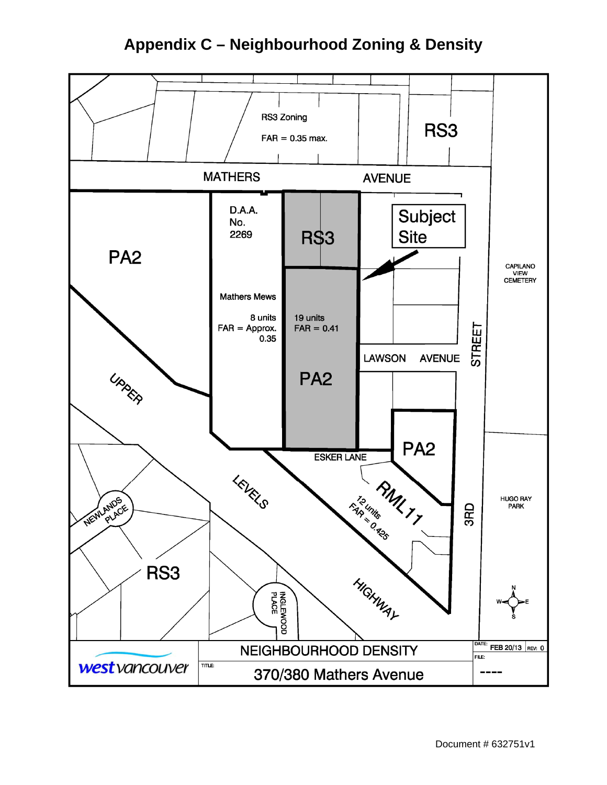# **Appendix C – Neighbourhood Zoning & Density**